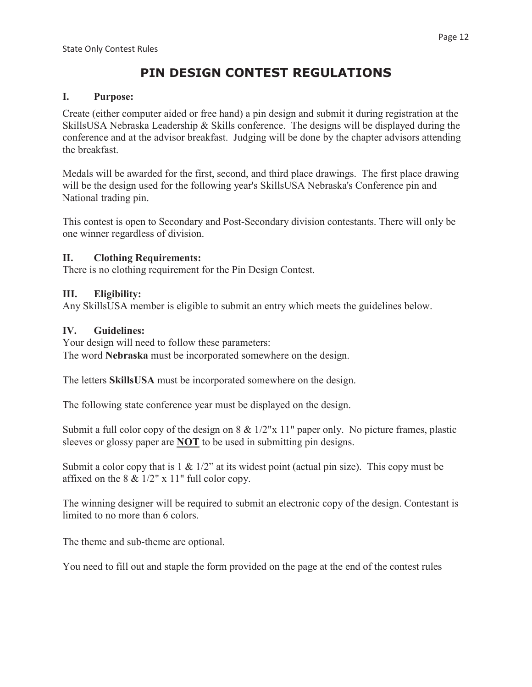# **PIN DESIGN CONTEST REGULATIONS**

#### **I. Purpose:**

Create (either computer aided or free hand) a pin design and submit it during registration at the SkillsUSA Nebraska Leadership & Skills conference. The designs will be displayed during the conference and at the advisor breakfast. Judging will be done by the chapter advisors attending the breakfast.

Medals will be awarded for the first, second, and third place drawings. The first place drawing will be the design used for the following year's SkillsUSA Nebraska's Conference pin and National trading pin.

This contest is open to Secondary and Post-Secondary division contestants. There will only be one winner regardless of division.

### **II. Clothing Requirements:**

There is no clothing requirement for the Pin Design Contest.

# **III. Eligibility:**

Any SkillsUSA member is eligible to submit an entry which meets the guidelines below.

# **IV. Guidelines:**

Your design will need to follow these parameters: The word **Nebraska** must be incorporated somewhere on the design.

The letters **SkillsUSA** must be incorporated somewhere on the design.

The following state conference year must be displayed on the design.

Submit a full color copy of the design on 8 & 1/2"x 11" paper only. No picture frames, plastic sleeves or glossy paper are **NOT** to be used in submitting pin designs.

Submit a color copy that is  $1 \& 1/2$ " at its widest point (actual pin size). This copy must be affixed on the 8 & 1/2" x 11" full color copy.

The winning designer will be required to submit an electronic copy of the design. Contestant is limited to no more than 6 colors.

The theme and sub-theme are optional.

You need to fill out and staple the form provided on the page at the end of the contest rules